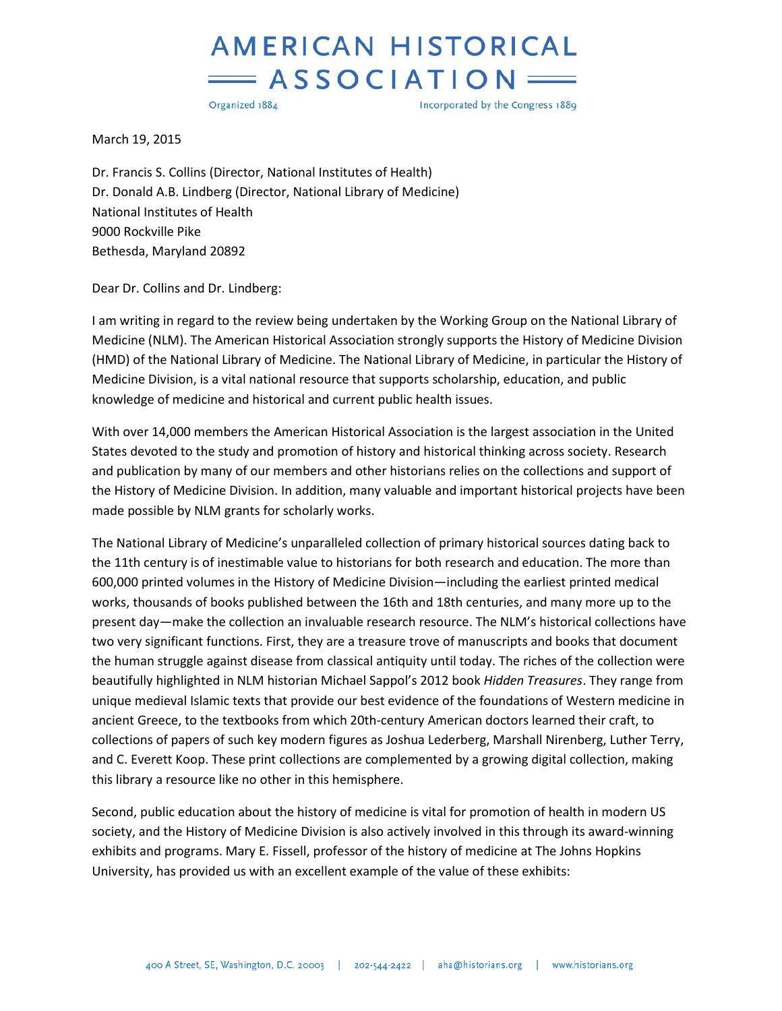## **AMERICAN HISTORICAL**  $=$  ASSOCIATION

Organized 1884

Incorporated by the Congress 1889

March 19, 2015

Dr. Francis S. Collins (Director, National Institutes of Health) Dr. Donald A.B. Lindberg (Director, National Library of Medicine) National Institutes of Health 9000 Rockville Pike Bethesda, Maryland 20892

Dear Dr. Collins and Dr. Lindberg:

I am writing in regard to the review being undertaken by the Working Group on the National Library of Medicine (NLM). The American Historical Association strongly supports the History of Medicine Division (HMD) of the National Library of Medicine. The National Library of Medicine, in particular the History of Medicine Division, is a vital national resource that supports scholarship, education, and public knowledge of medicine and historical and current public health issues.

With over 14,000 members the American Historical Association is the largest association in the United States devoted to the study and promotion of history and historical thinking across society. Research and publication by many of our members and other historians relies on the collections and support of the History of Medicine Division. In addition, many valuable and important historical projects have been made possible by NLM grants for scholarly works.

The National Library of Medicine's unparalleled collection of primary historical sources dating back to the 11th century is of inestimable value to historians for both research and education. The more than 600,000 printed volumes in the History of Medicine Division—including the earliest printed medical works, thousands of books published between the 16th and 18th centuries, and many more up to the present day—make the collection an invaluable research resource. The NLM's historical collections have two very significant functions. First, they are a treasure trove of manuscripts and books that document the human struggle against disease from classical antiquity until today. The riches of the collection were beautifully highlighted in NLM historian Michael Sappol's 2012 book *Hidden Treasures*. They range from unique medieval Islamic texts that provide our best evidence of the foundations of Western medicine in ancient Greece, to the textbooks from which 20th-century American doctors learned their craft, to collections of papers of such key modern figures as Joshua Lederberg, Marshall Nirenberg, Luther Terry, and C. Everett Koop. These print collections are complemented by a growing digital collection, making this library a resource like no other in this hemisphere.

Second, public education about the history of medicine is vital for promotion of health in modern US society, and the History of Medicine Division is also actively involved in this through its award-winning exhibits and programs. Mary E. Fissell, professor of the history of medicine at The Johns Hopkins University, has provided us with an excellent example of the value of these exhibits: